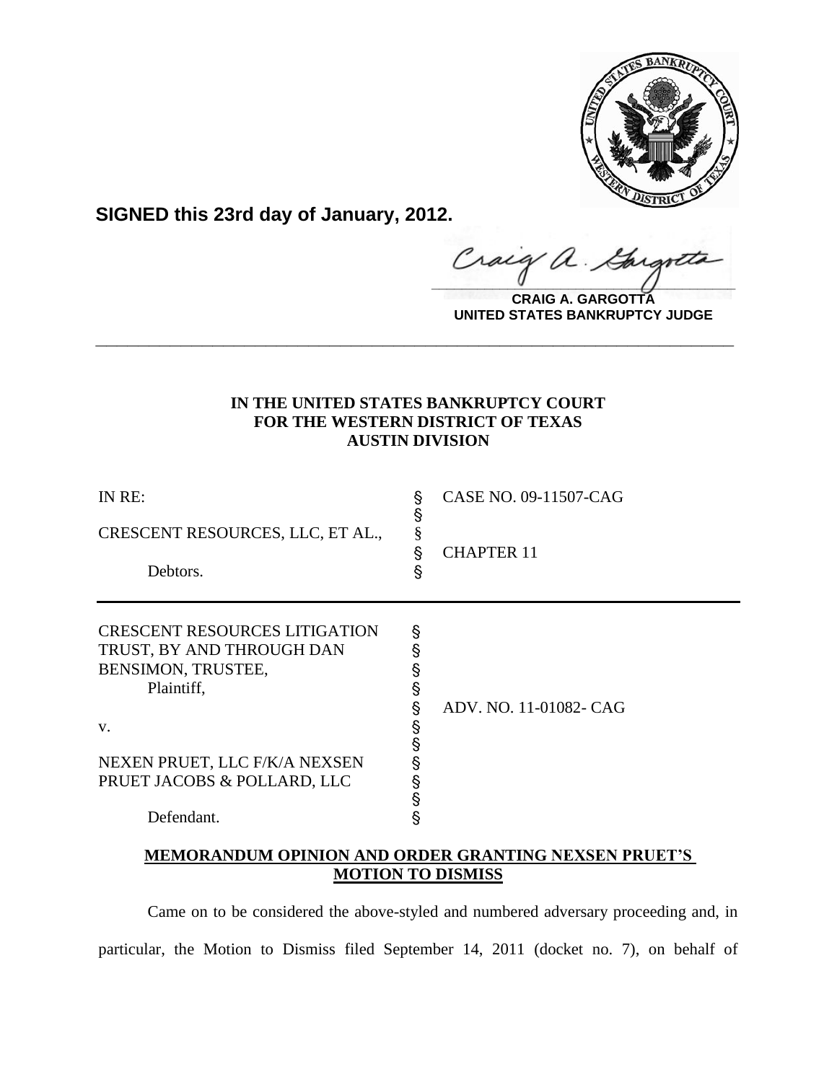

**SIGNED this 23rd day of January, 2012.**

Craig a.

**CRAIG A. GARGOTTA UNITED STATES BANKRUPTCY JUDGE**

# **IN THE UNITED STATES BANKRUPTCY COURT FOR THE WESTERN DISTRICT OF TEXAS AUSTIN DIVISION**

**\_\_\_\_\_\_\_\_\_\_\_\_\_\_\_\_\_\_\_\_\_\_\_\_\_\_\_\_\_\_\_\_\_\_\_\_\_\_\_\_\_\_\_\_\_\_\_\_\_\_\_\_\_\_\_\_\_\_\_\_**

| IN RE:<br>CRESCENT RESOURCES, LLC, ET AL.,<br>Debtors.                                                | §<br>§<br>§<br>S<br>S      | CASE NO. 09-11507-CAG<br><b>CHAPTER 11</b> |
|-------------------------------------------------------------------------------------------------------|----------------------------|--------------------------------------------|
| <b>CRESCENT RESOURCES LITIGATION</b><br>TRUST, BY AND THROUGH DAN<br>BENSIMON, TRUSTEE,<br>Plaintiff, | §<br>§<br>§<br>§<br>§      | ADV. NO. 11-01082- CAG                     |
| V.<br>NEXEN PRUET, LLC F/K/A NEXSEN<br>PRUET JACOBS & POLLARD, LLC<br>Defendant.                      | §<br>§<br>§<br>S<br>S<br>§ |                                            |

## **MEMORANDUM OPINION AND ORDER GRANTING NEXSEN PRUET'S MOTION TO DISMISS**

Came on to be considered the above-styled and numbered adversary proceeding and, in particular, the Motion to Dismiss filed September 14, 2011 (docket no. 7), on behalf of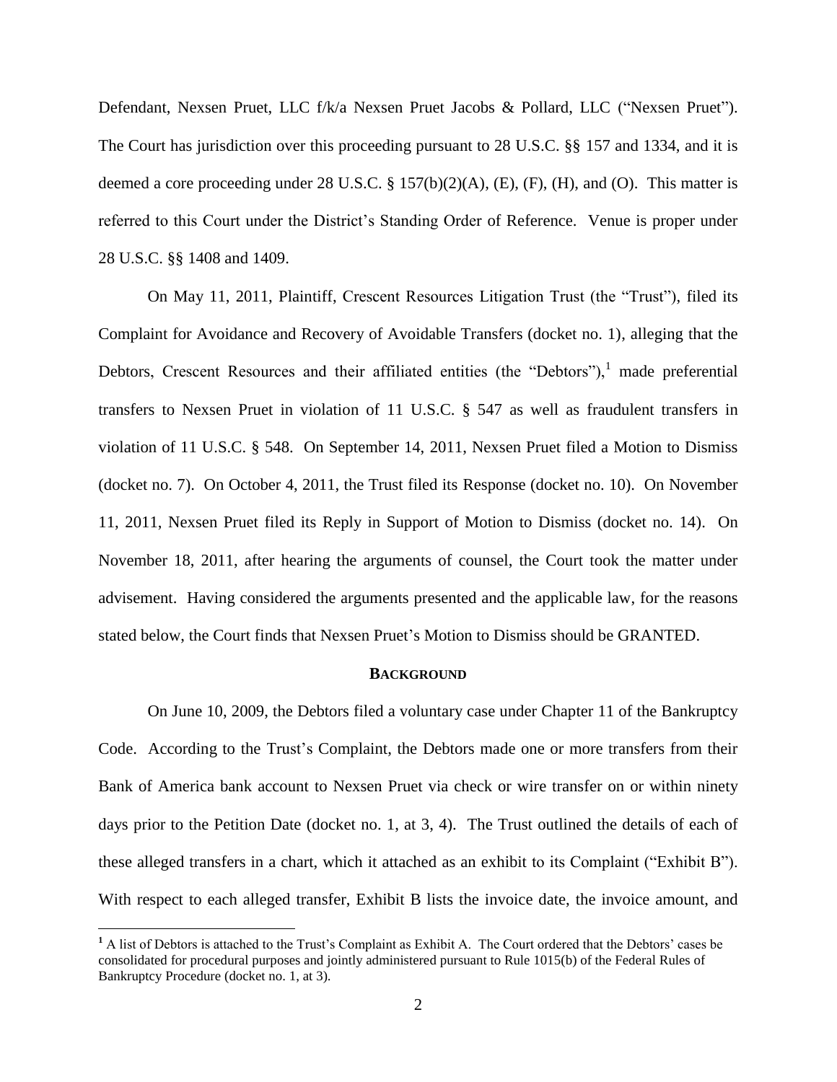Defendant, Nexsen Pruet, LLC f/k/a Nexsen Pruet Jacobs & Pollard, LLC ("Nexsen Pruet"). The Court has jurisdiction over this proceeding pursuant to 28 U.S.C. §§ 157 and 1334, and it is deemed a core proceeding under 28 U.S.C.  $\S$  157(b)(2)(A), (E), (F), (H), and (O). This matter is referred to this Court under the District's Standing Order of Reference. Venue is proper under 28 U.S.C. §§ 1408 and 1409.

On May 11, 2011, Plaintiff, Crescent Resources Litigation Trust (the "Trust"), filed its Complaint for Avoidance and Recovery of Avoidable Transfers (docket no. 1), alleging that the Debtors, Crescent Resources and their affiliated entities (the "Debtors"), $\frac{1}{2}$  made preferential transfers to Nexsen Pruet in violation of 11 U.S.C. § 547 as well as fraudulent transfers in violation of 11 U.S.C. § 548. On September 14, 2011, Nexsen Pruet filed a Motion to Dismiss (docket no. 7). On October 4, 2011, the Trust filed its Response (docket no. 10). On November 11, 2011, Nexsen Pruet filed its Reply in Support of Motion to Dismiss (docket no. 14). On November 18, 2011, after hearing the arguments of counsel, the Court took the matter under advisement. Having considered the arguments presented and the applicable law, for the reasons stated below, the Court finds that Nexsen Pruet's Motion to Dismiss should be GRANTED.

#### **BACKGROUND**

On June 10, 2009, the Debtors filed a voluntary case under Chapter 11 of the Bankruptcy Code. According to the Trust's Complaint, the Debtors made one or more transfers from their Bank of America bank account to Nexsen Pruet via check or wire transfer on or within ninety days prior to the Petition Date (docket no. 1, at 3, 4). The Trust outlined the details of each of these alleged transfers in a chart, which it attached as an exhibit to its Complaint ("Exhibit B"). With respect to each alleged transfer, Exhibit B lists the invoice date, the invoice amount, and

**<sup>1</sup>** A list of Debtors is attached to the Trust's Complaint as Exhibit A. The Court ordered that the Debtors' cases be consolidated for procedural purposes and jointly administered pursuant to Rule 1015(b) of the Federal Rules of Bankruptcy Procedure (docket no. 1, at 3).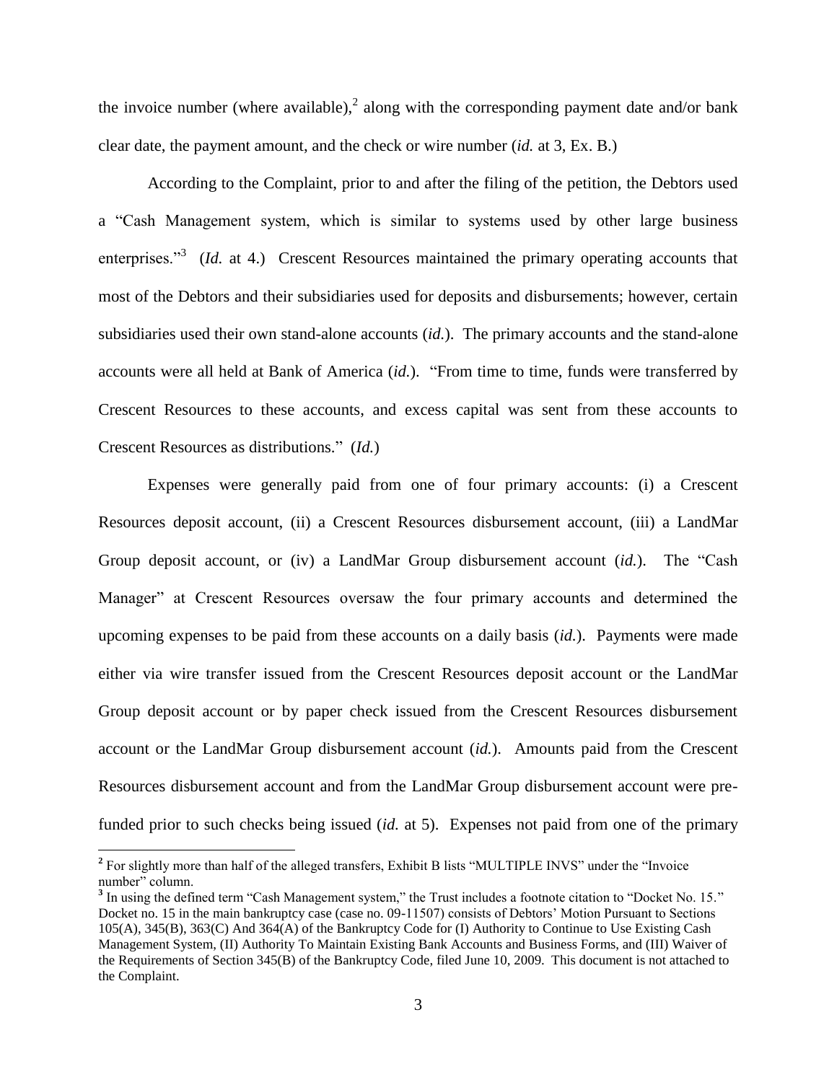the invoice number (where available),<sup>2</sup> along with the corresponding payment date and/or bank clear date, the payment amount, and the check or wire number (*id.* at 3, Ex. B.)

According to the Complaint, prior to and after the filing of the petition, the Debtors used a "Cash Management system, which is similar to systems used by other large business enterprises."<sup>3</sup> (*Id.* at 4.) Crescent Resources maintained the primary operating accounts that most of the Debtors and their subsidiaries used for deposits and disbursements; however, certain subsidiaries used their own stand-alone accounts (*id.*). The primary accounts and the stand-alone accounts were all held at Bank of America (*id.*). "From time to time, funds were transferred by Crescent Resources to these accounts, and excess capital was sent from these accounts to Crescent Resources as distributions." (*Id.*)

Expenses were generally paid from one of four primary accounts: (i) a Crescent Resources deposit account, (ii) a Crescent Resources disbursement account, (iii) a LandMar Group deposit account, or (iv) a LandMar Group disbursement account (*id.*). The "Cash Manager" at Crescent Resources oversaw the four primary accounts and determined the upcoming expenses to be paid from these accounts on a daily basis (*id.*). Payments were made either via wire transfer issued from the Crescent Resources deposit account or the LandMar Group deposit account or by paper check issued from the Crescent Resources disbursement account or the LandMar Group disbursement account (*id.*). Amounts paid from the Crescent Resources disbursement account and from the LandMar Group disbursement account were prefunded prior to such checks being issued (*id.* at 5). Expenses not paid from one of the primary

<sup>&</sup>lt;sup>2</sup> For slightly more than half of the alleged transfers, Exhibit B lists "MULTIPLE INVS" under the "Invoice number" column.

<sup>&</sup>lt;sup>3</sup> In using the defined term "Cash Management system," the Trust includes a footnote citation to "Docket No. 15." Docket no. 15 in the main bankruptcy case (case no. 09-11507) consists of Debtors' Motion Pursuant to Sections 105(A), 345(B), 363(C) And 364(A) of the Bankruptcy Code for (I) Authority to Continue to Use Existing Cash Management System, (II) Authority To Maintain Existing Bank Accounts and Business Forms, and (III) Waiver of the Requirements of Section 345(B) of the Bankruptcy Code, filed June 10, 2009. This document is not attached to the Complaint.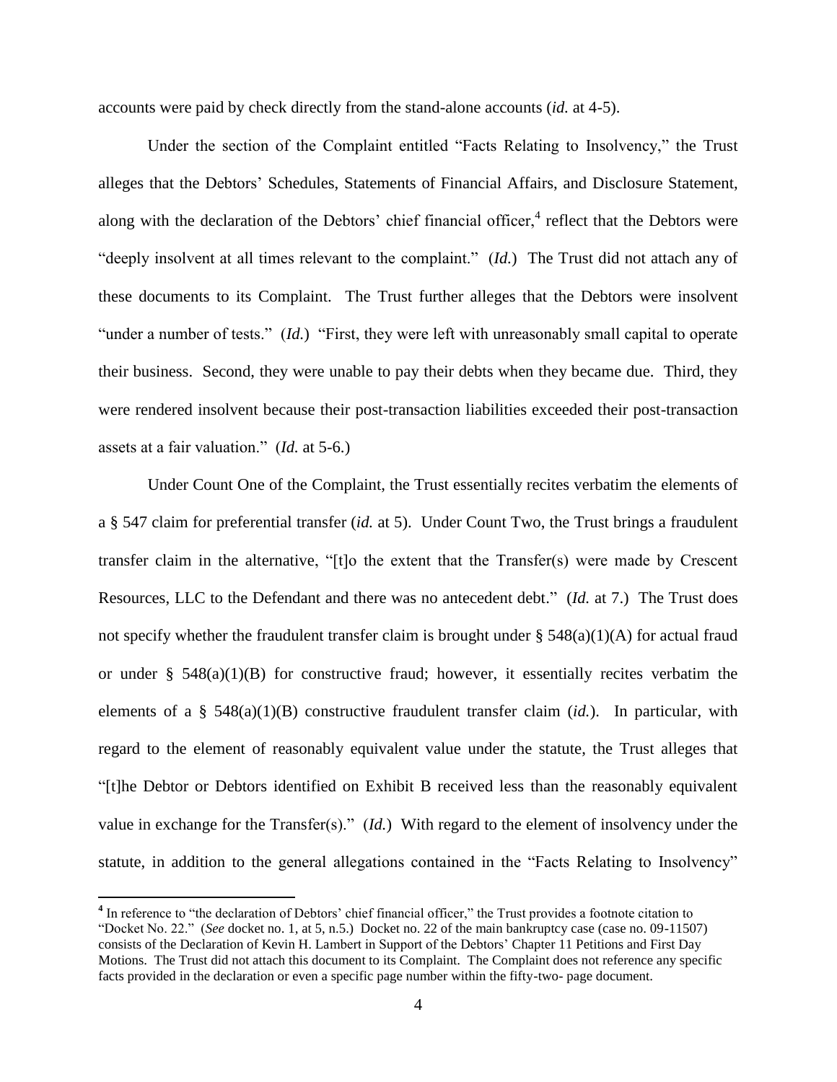accounts were paid by check directly from the stand-alone accounts (*id.* at 4-5).

Under the section of the Complaint entitled "Facts Relating to Insolvency," the Trust alleges that the Debtors' Schedules, Statements of Financial Affairs, and Disclosure Statement, along with the declaration of the Debtors' chief financial officer, $4$  reflect that the Debtors were "deeply insolvent at all times relevant to the complaint." (*Id.*) The Trust did not attach any of these documents to its Complaint. The Trust further alleges that the Debtors were insolvent "under a number of tests." (*Id.*) "First, they were left with unreasonably small capital to operate their business. Second, they were unable to pay their debts when they became due. Third, they were rendered insolvent because their post-transaction liabilities exceeded their post-transaction assets at a fair valuation." (*Id.* at 5-6.)

Under Count One of the Complaint, the Trust essentially recites verbatim the elements of a § 547 claim for preferential transfer (*id.* at 5). Under Count Two, the Trust brings a fraudulent transfer claim in the alternative, "[t]o the extent that the Transfer(s) were made by Crescent Resources, LLC to the Defendant and there was no antecedent debt." (*Id.* at 7.) The Trust does not specify whether the fraudulent transfer claim is brought under  $\S$  548(a)(1)(A) for actual fraud or under  $\S$  548(a)(1)(B) for constructive fraud; however, it essentially recites verbatim the elements of a § 548(a)(1)(B) constructive fraudulent transfer claim (*id.*). In particular, with regard to the element of reasonably equivalent value under the statute, the Trust alleges that "[t]he Debtor or Debtors identified on Exhibit B received less than the reasonably equivalent value in exchange for the Transfer(s)." (*Id.*) With regard to the element of insolvency under the statute, in addition to the general allegations contained in the "Facts Relating to Insolvency"

<sup>&</sup>lt;sup>4</sup> In reference to "the declaration of Debtors' chief financial officer," the Trust provides a footnote citation to "Docket No. 22." (*See* docket no. 1, at 5, n.5.) Docket no. 22 of the main bankruptcy case (case no. 09-11507) consists of the Declaration of Kevin H. Lambert in Support of the Debtors' Chapter 11 Petitions and First Day Motions. The Trust did not attach this document to its Complaint. The Complaint does not reference any specific facts provided in the declaration or even a specific page number within the fifty-two- page document.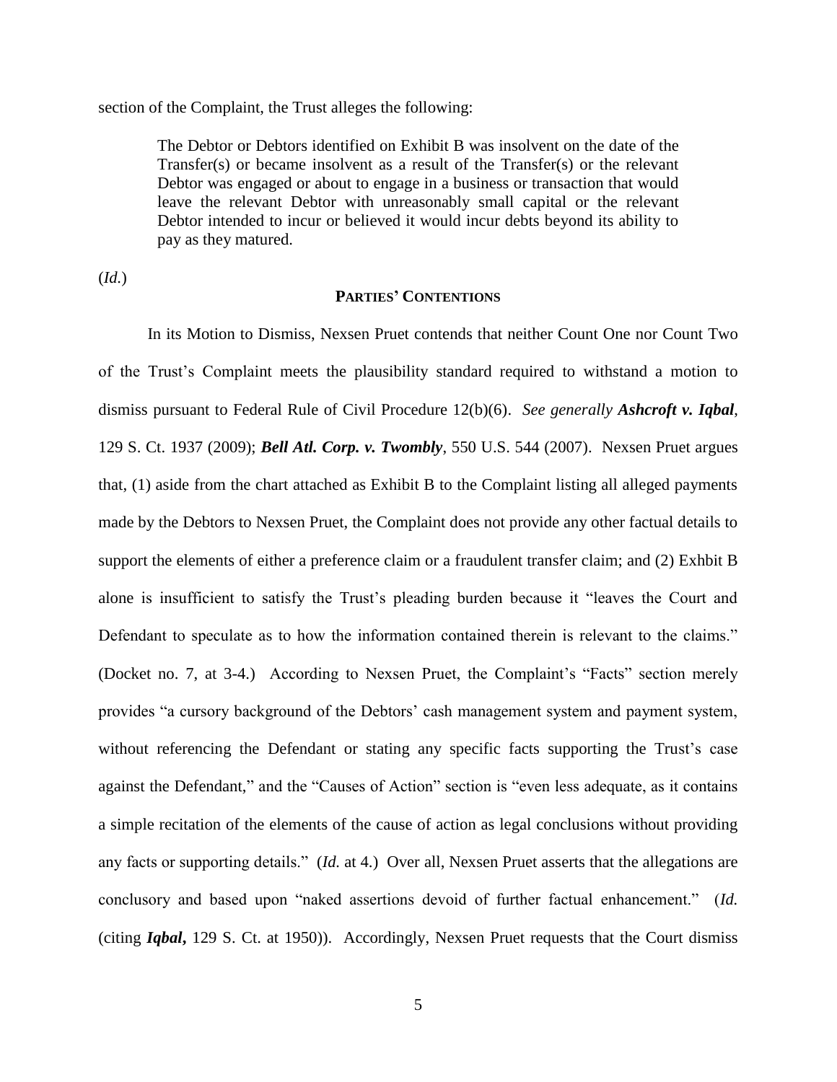section of the Complaint, the Trust alleges the following:

The Debtor or Debtors identified on Exhibit B was insolvent on the date of the Transfer(s) or became insolvent as a result of the Transfer(s) or the relevant Debtor was engaged or about to engage in a business or transaction that would leave the relevant Debtor with unreasonably small capital or the relevant Debtor intended to incur or believed it would incur debts beyond its ability to pay as they matured.

(*Id.*)

#### **PARTIES' CONTENTIONS**

In its Motion to Dismiss, Nexsen Pruet contends that neither Count One nor Count Two of the Trust's Complaint meets the plausibility standard required to withstand a motion to dismiss pursuant to Federal Rule of Civil Procedure 12(b)(6). *See generally Ashcroft v. Iqbal*, 129 S. Ct. 1937 (2009); *Bell Atl. Corp. v. Twombly*, 550 U.S. 544 (2007). Nexsen Pruet argues that, (1) aside from the chart attached as Exhibit B to the Complaint listing all alleged payments made by the Debtors to Nexsen Pruet, the Complaint does not provide any other factual details to support the elements of either a preference claim or a fraudulent transfer claim; and (2) Exhbit B alone is insufficient to satisfy the Trust's pleading burden because it "leaves the Court and Defendant to speculate as to how the information contained therein is relevant to the claims." (Docket no. 7, at 3-4.) According to Nexsen Pruet, the Complaint's "Facts" section merely provides "a cursory background of the Debtors' cash management system and payment system, without referencing the Defendant or stating any specific facts supporting the Trust's case against the Defendant," and the "Causes of Action" section is "even less adequate, as it contains a simple recitation of the elements of the cause of action as legal conclusions without providing any facts or supporting details." (*Id.* at 4.) Over all, Nexsen Pruet asserts that the allegations are conclusory and based upon "naked assertions devoid of further factual enhancement." (*Id.* (citing *Iqbal***,** 129 S. Ct. at 1950)). Accordingly, Nexsen Pruet requests that the Court dismiss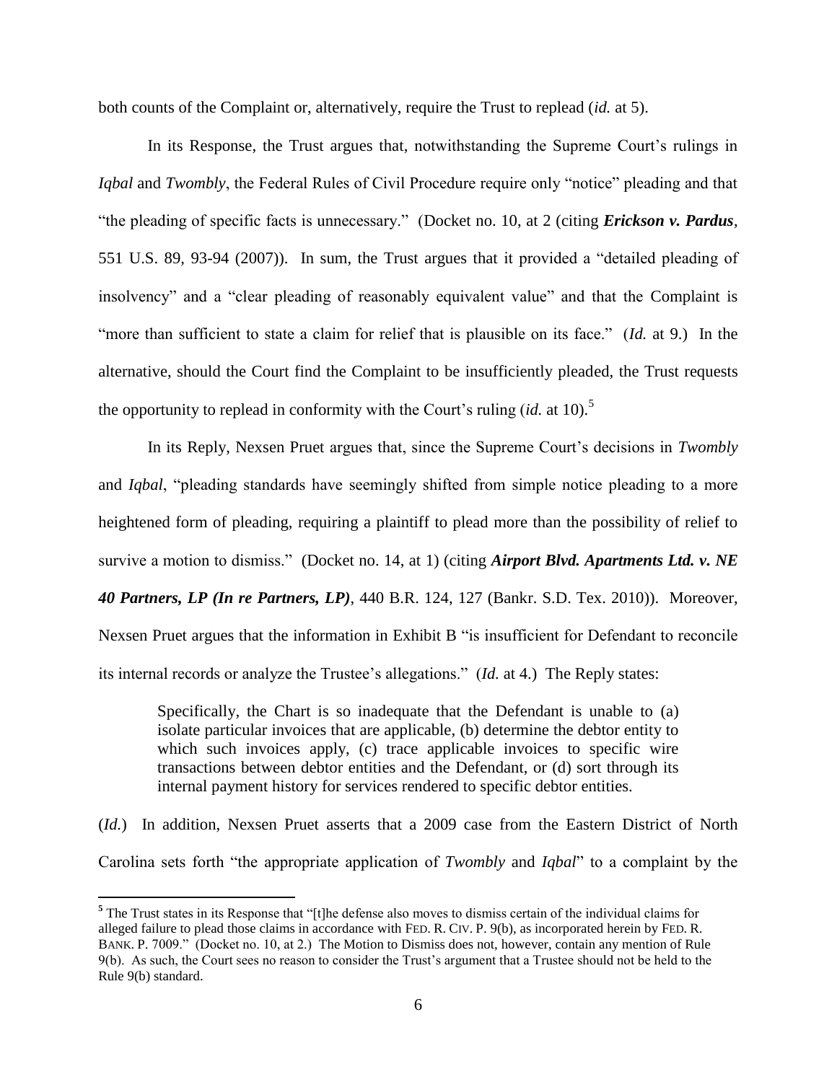both counts of the Complaint or, alternatively, require the Trust to replead (*id.* at 5).

In its Response, the Trust argues that, notwithstanding the Supreme Court's rulings in *Iqbal* and *Twombly*, the Federal Rules of Civil Procedure require only "notice" pleading and that "the pleading of specific facts is unnecessary." (Docket no. 10, at 2 (citing *Erickson v. Pardus*, 551 U.S. 89, 93-94 (2007)). In sum, the Trust argues that it provided a "detailed pleading of insolvency" and a "clear pleading of reasonably equivalent value" and that the Complaint is "more than sufficient to state a claim for relief that is plausible on its face." (*Id.* at 9.) In the alternative, should the Court find the Complaint to be insufficiently pleaded, the Trust requests the opportunity to replead in conformity with the Court's ruling (*id.* at 10). 5

In its Reply, Nexsen Pruet argues that, since the Supreme Court's decisions in *Twombly* and *Iqbal*, "pleading standards have seemingly shifted from simple notice pleading to a more heightened form of pleading, requiring a plaintiff to plead more than the possibility of relief to survive a motion to dismiss." (Docket no. 14, at 1) (citing *Airport Blvd. Apartments Ltd. v. NE 40 Partners, LP (In re Partners, LP)*, 440 B.R. 124, 127 (Bankr. S.D. Tex. 2010)). Moreover, Nexsen Pruet argues that the information in Exhibit B "is insufficient for Defendant to reconcile its internal records or analyze the Trustee's allegations." (*Id.* at 4.) The Reply states:

Specifically, the Chart is so inadequate that the Defendant is unable to (a) isolate particular invoices that are applicable, (b) determine the debtor entity to which such invoices apply, (c) trace applicable invoices to specific wire transactions between debtor entities and the Defendant, or (d) sort through its internal payment history for services rendered to specific debtor entities.

(*Id.*) In addition, Nexsen Pruet asserts that a 2009 case from the Eastern District of North Carolina sets forth "the appropriate application of *Twombly* and *Iqbal*" to a complaint by the

<sup>&</sup>lt;sup>5</sup> The Trust states in its Response that "[t]he defense also moves to dismiss certain of the individual claims for alleged failure to plead those claims in accordance with FED. R. CIV. P. 9(b), as incorporated herein by FED. R. BANK. P. 7009." (Docket no. 10, at 2.) The Motion to Dismiss does not, however, contain any mention of Rule 9(b). As such, the Court sees no reason to consider the Trust's argument that a Trustee should not be held to the Rule 9(b) standard.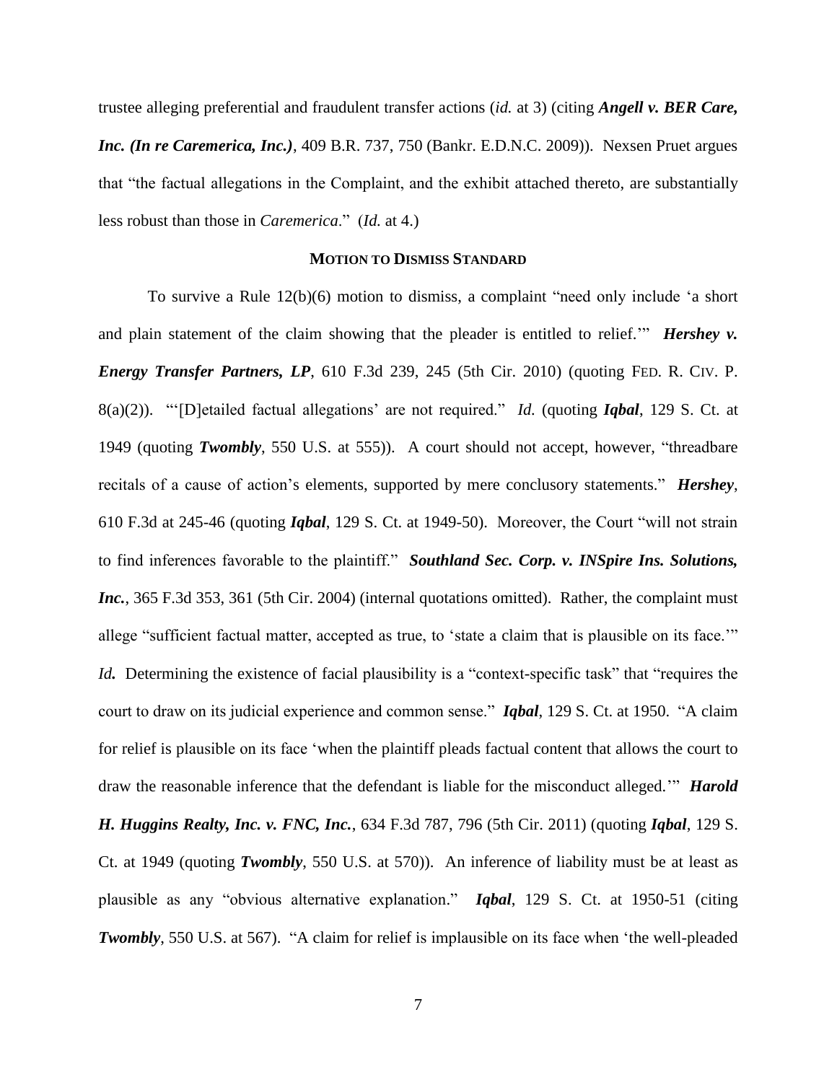trustee alleging preferential and fraudulent transfer actions (*id.* at 3) (citing *Angell v. BER Care, Inc. (In re Caremerica, Inc.)*, 409 B.R. 737, 750 (Bankr. E.D.N.C. 2009)). Nexsen Pruet argues that "the factual allegations in the Complaint, and the exhibit attached thereto, are substantially less robust than those in *Caremerica*." (*Id.* at 4.)

#### **MOTION TO DISMISS STANDARD**

To survive a Rule 12(b)(6) motion to dismiss, a complaint "need only include 'a short and plain statement of the claim showing that the pleader is entitled to relief." *Hershey v. Energy Transfer Partners, LP*, 610 F.3d 239, 245 (5th Cir. 2010) (quoting FED. R. CIV. P. 8(a)(2)). "'[D]etailed factual allegations' are not required." *Id.* (quoting *Iqbal*, 129 S. Ct. at 1949 (quoting *Twombly*, 550 U.S. at 555)). A court should not accept, however, "threadbare recitals of a cause of action's elements, supported by mere conclusory statements." *Hershey*, 610 F.3d at 245-46 (quoting *Iqbal*, 129 S. Ct. at 1949-50). Moreover, the Court "will not strain to find inferences favorable to the plaintiff." *Southland Sec. Corp. v. INSpire Ins. Solutions, Inc.*, 365 F.3d 353, 361 (5th Cir. 2004) (internal quotations omitted). Rather, the complaint must allege "sufficient factual matter, accepted as true, to 'state a claim that is plausible on its face.'" *Id*. Determining the existence of facial plausibility is a "context-specific task" that "requires the court to draw on its judicial experience and common sense." *Iqbal*, 129 S. Ct. at 1950. "A claim for relief is plausible on its face 'when the plaintiff pleads factual content that allows the court to draw the reasonable inference that the defendant is liable for the misconduct alleged.'" *Harold H. Huggins Realty, Inc. v. FNC, Inc.*, 634 F.3d 787, 796 (5th Cir. 2011) (quoting *Iqbal*, 129 S. Ct. at 1949 (quoting *Twombly*, 550 U.S. at 570)). An inference of liability must be at least as plausible as any "obvious alternative explanation." *Iqbal*, 129 S. Ct. at 1950-51 (citing *Twombly*, 550 U.S. at 567). "A claim for relief is implausible on its face when 'the well-pleaded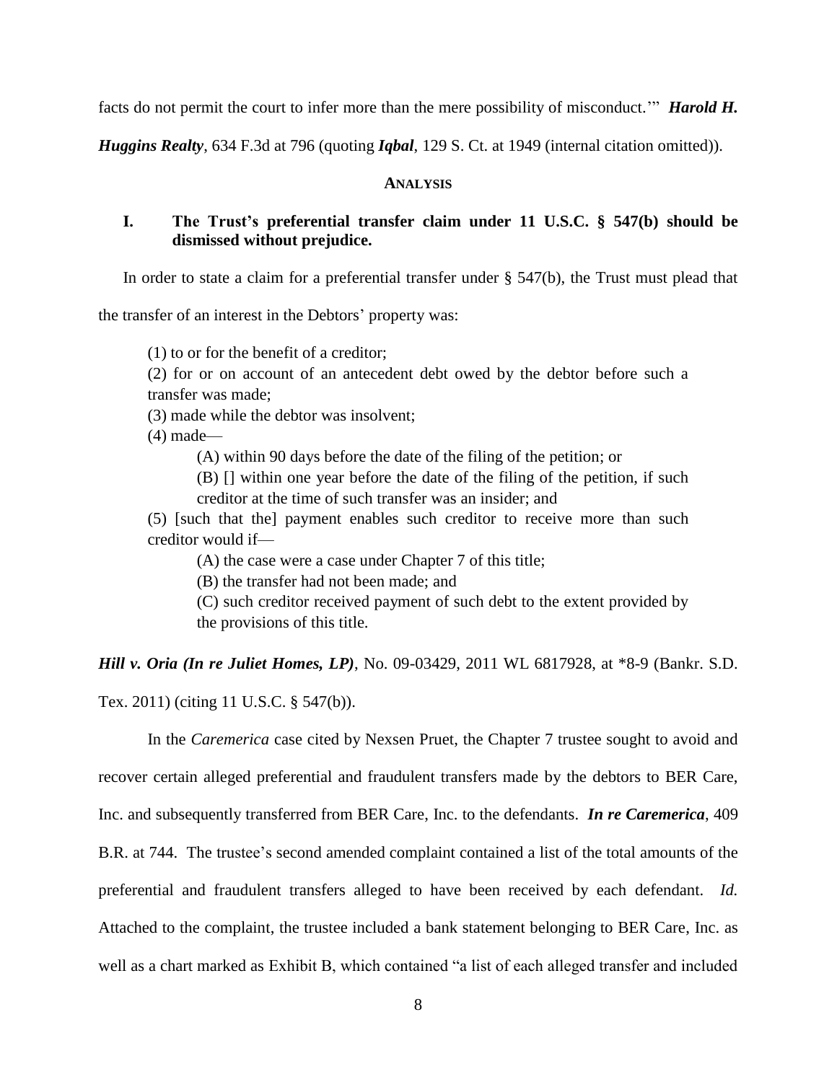facts do not permit the court to infer more than the mere possibility of misconduct.'" *Harold H.* 

*Huggins Realty*, 634 F.3d at 796 (quoting *Iqbal*, 129 S. Ct. at 1949 (internal citation omitted)).

### **ANALYSIS**

### **I. The Trust's preferential transfer claim under 11 U.S.C. § 547(b) should be dismissed without prejudice.**

In order to state a claim for a preferential transfer under § 547(b), the Trust must plead that

the transfer of an interest in the Debtors' property was:

(1) to or for the benefit of a creditor;

(2) for or on account of an antecedent debt owed by the debtor before such a transfer was made;

(3) made while the debtor was insolvent;

 $(4)$  made—

(A) within 90 days before the date of the filing of the petition; or

(B) [] within one year before the date of the filing of the petition, if such creditor at the time of such transfer was an insider; and

(5) [such that the] payment enables such creditor to receive more than such creditor would if—

(A) the case were a case under Chapter 7 of this title;

(B) the transfer had not been made; and

(C) such creditor received payment of such debt to the extent provided by the provisions of this title.

*Hill v. Oria (In re Juliet Homes, LP)*, No. 09-03429, 2011 WL 6817928, at \*8-9 (Bankr. S.D. Tex. 2011) (citing 11 U.S.C. § 547(b)).

In the *Caremerica* case cited by Nexsen Pruet, the Chapter 7 trustee sought to avoid and recover certain alleged preferential and fraudulent transfers made by the debtors to BER Care, Inc. and subsequently transferred from BER Care, Inc. to the defendants. *In re Caremerica*, 409 B.R. at 744. The trustee's second amended complaint contained a list of the total amounts of the preferential and fraudulent transfers alleged to have been received by each defendant. *Id.*  Attached to the complaint, the trustee included a bank statement belonging to BER Care, Inc. as well as a chart marked as Exhibit B, which contained "a list of each alleged transfer and included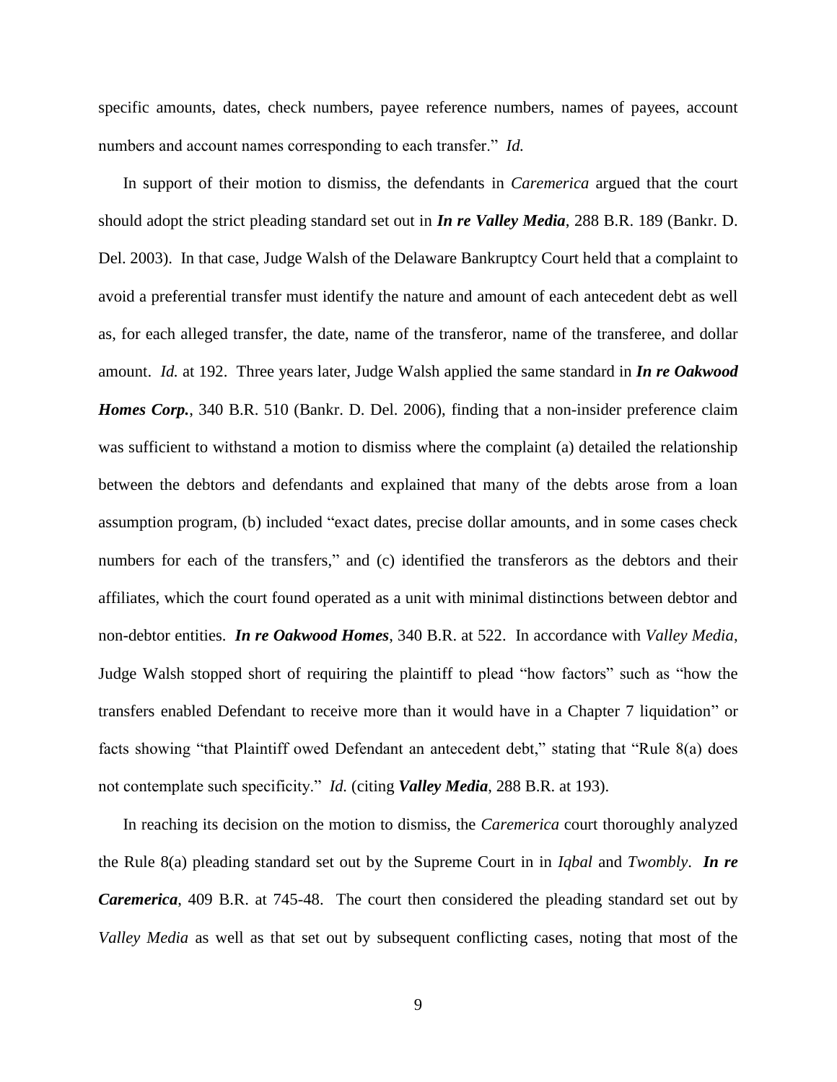specific amounts, dates, check numbers, payee reference numbers, names of payees, account numbers and account names corresponding to each transfer." *Id.*

In support of their motion to dismiss, the defendants in *Caremerica* argued that the court should adopt the strict pleading standard set out in *In re Valley Media*, 288 B.R. 189 (Bankr. D. Del. 2003). In that case, Judge Walsh of the Delaware Bankruptcy Court held that a complaint to avoid a preferential transfer must identify the nature and amount of each antecedent debt as well as, for each alleged transfer, the date, name of the transferor, name of the transferee, and dollar amount. *Id.* at 192. Three years later, Judge Walsh applied the same standard in *In re Oakwood Homes Corp.*, 340 B.R. 510 (Bankr. D. Del. 2006), finding that a non-insider preference claim was sufficient to withstand a motion to dismiss where the complaint (a) detailed the relationship between the debtors and defendants and explained that many of the debts arose from a loan assumption program, (b) included "exact dates, precise dollar amounts, and in some cases check numbers for each of the transfers," and (c) identified the transferors as the debtors and their affiliates, which the court found operated as a unit with minimal distinctions between debtor and non-debtor entities. *In re Oakwood Homes*, 340 B.R. at 522. In accordance with *Valley Media*, Judge Walsh stopped short of requiring the plaintiff to plead "how factors" such as "how the transfers enabled Defendant to receive more than it would have in a Chapter 7 liquidation" or facts showing "that Plaintiff owed Defendant an antecedent debt," stating that "Rule 8(a) does not contemplate such specificity." *Id.* (citing *Valley Media*, 288 B.R. at 193).

In reaching its decision on the motion to dismiss, the *Caremerica* court thoroughly analyzed the Rule 8(a) pleading standard set out by the Supreme Court in in *Iqbal* and *Twombly*. *In re Caremerica*, 409 B.R. at 745-48. The court then considered the pleading standard set out by *Valley Media* as well as that set out by subsequent conflicting cases, noting that most of the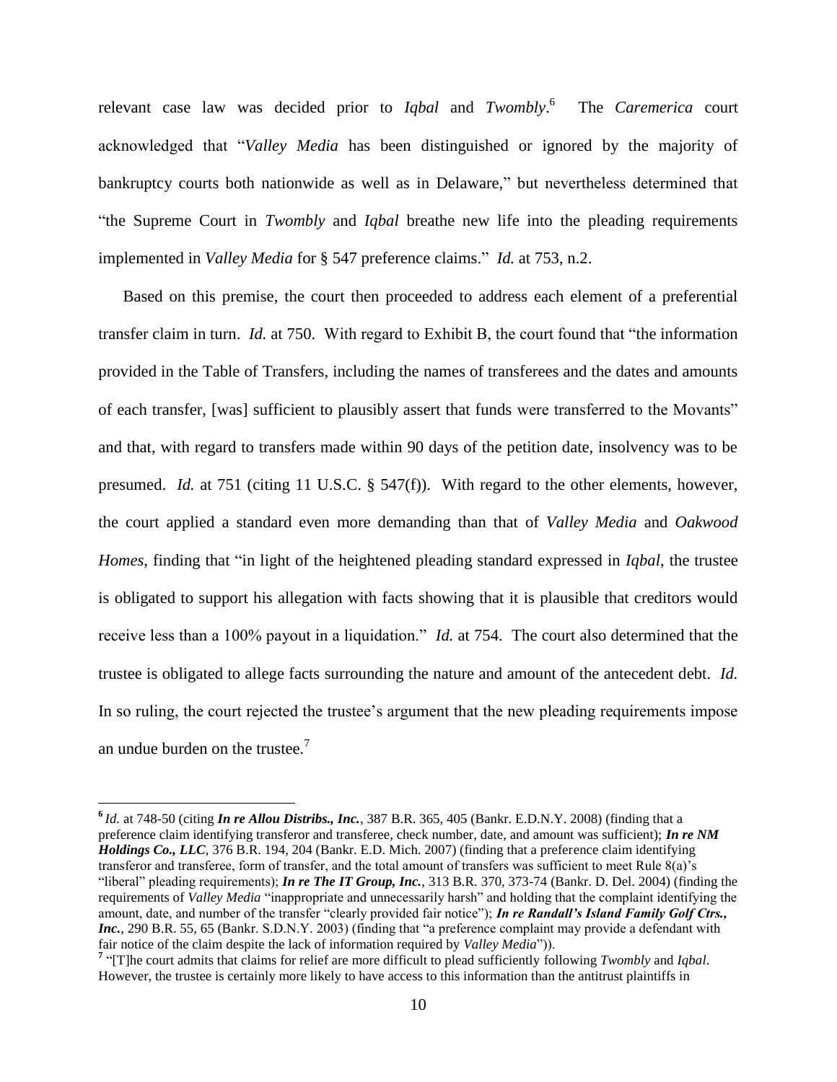relevant case law was decided prior to *Iqbal* and *Twombly*. 6 The *Caremerica* court acknowledged that "*Valley Media* has been distinguished or ignored by the majority of bankruptcy courts both nationwide as well as in Delaware," but nevertheless determined that "the Supreme Court in *Twombly* and *Iqbal* breathe new life into the pleading requirements implemented in *Valley Media* for § 547 preference claims." *Id.* at 753, n.2.

Based on this premise, the court then proceeded to address each element of a preferential transfer claim in turn. *Id.* at 750. With regard to Exhibit B, the court found that "the information provided in the Table of Transfers, including the names of transferees and the dates and amounts of each transfer, [was] sufficient to plausibly assert that funds were transferred to the Movants" and that, with regard to transfers made within 90 days of the petition date, insolvency was to be presumed. *Id.* at 751 (citing 11 U.S.C. § 547(f)). With regard to the other elements, however, the court applied a standard even more demanding than that of *Valley Media* and *Oakwood Homes*, finding that "in light of the heightened pleading standard expressed in *Iqbal*, the trustee is obligated to support his allegation with facts showing that it is plausible that creditors would receive less than a 100% payout in a liquidation." *Id.* at 754. The court also determined that the trustee is obligated to allege facts surrounding the nature and amount of the antecedent debt. *Id.* In so ruling, the court rejected the trustee's argument that the new pleading requirements impose an undue burden on the trustee.<sup>7</sup>

**<sup>6</sup>** *Id.* at 748-50 (citing *In re Allou Distribs., Inc.*, 387 B.R. 365, 405 (Bankr. E.D.N.Y. 2008) (finding that a preference claim identifying transferor and transferee, check number, date, and amount was sufficient); *In re NM Holdings Co., LLC*, 376 B.R. 194, 204 (Bankr. E.D. Mich. 2007) (finding that a preference claim identifying transferor and transferee, form of transfer, and the total amount of transfers was sufficient to meet Rule 8(a)'s "liberal" pleading requirements); *In re The IT Group, Inc.*, 313 B.R. 370, 373-74 (Bankr. D. Del. 2004) (finding the requirements of *Valley Media* "inappropriate and unnecessarily harsh" and holding that the complaint identifying the amount, date, and number of the transfer "clearly provided fair notice"); *In re Randall's Island Family Golf Ctrs., Inc.*, 290 B.R. 55, 65 (Bankr. S.D.N.Y. 2003) (finding that "a preference complaint may provide a defendant with fair notice of the claim despite the lack of information required by *Valley Media*")).

**<sup>7</sup>** "[T]he court admits that claims for relief are more difficult to plead sufficiently following *Twombly* and *Iqbal*. However, the trustee is certainly more likely to have access to this information than the antitrust plaintiffs in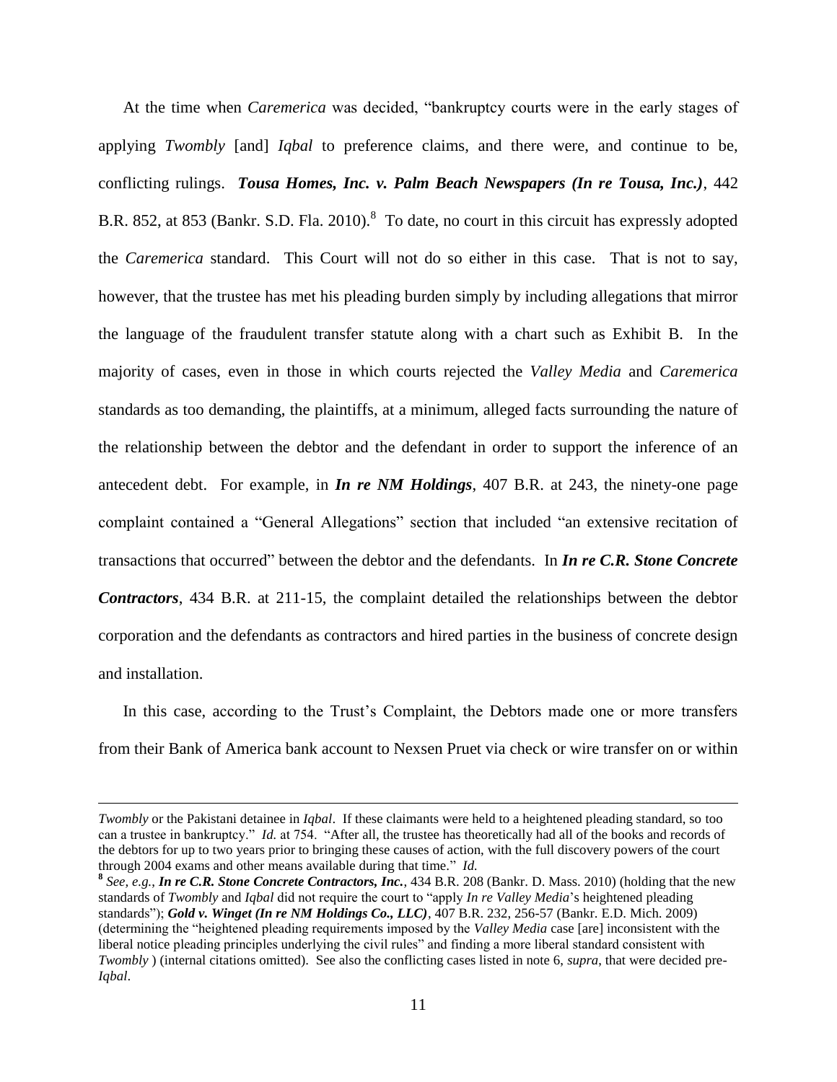At the time when *Caremerica* was decided, "bankruptcy courts were in the early stages of applying *Twombly* [and] *Iqbal* to preference claims, and there were, and continue to be, conflicting rulings. *Tousa Homes, Inc. v. Palm Beach Newspapers (In re Tousa, Inc.)*, 442 B.R. 852, at 853 (Bankr. S.D. Fla. 2010).<sup>8</sup> To date, no court in this circuit has expressly adopted the *Caremerica* standard. This Court will not do so either in this case. That is not to say, however, that the trustee has met his pleading burden simply by including allegations that mirror the language of the fraudulent transfer statute along with a chart such as Exhibit B. In the majority of cases, even in those in which courts rejected the *Valley Media* and *Caremerica* standards as too demanding, the plaintiffs, at a minimum, alleged facts surrounding the nature of the relationship between the debtor and the defendant in order to support the inference of an antecedent debt. For example, in *In re NM Holdings*, 407 B.R. at 243, the ninety-one page complaint contained a "General Allegations" section that included "an extensive recitation of transactions that occurred" between the debtor and the defendants. In *In re C.R. Stone Concrete Contractors*, 434 B.R. at 211-15, the complaint detailed the relationships between the debtor corporation and the defendants as contractors and hired parties in the business of concrete design and installation.

In this case, according to the Trust's Complaint, the Debtors made one or more transfers from their Bank of America bank account to Nexsen Pruet via check or wire transfer on or within

*Twombly* or the Pakistani detainee in *Iqbal*. If these claimants were held to a heightened pleading standard, so too can a trustee in bankruptcy." *Id.* at 754. "After all, the trustee has theoretically had all of the books and records of the debtors for up to two years prior to bringing these causes of action, with the full discovery powers of the court through 2004 exams and other means available during that time." *Id.*

**<sup>8</sup>** *See, e.g.*, *In re C.R. Stone Concrete Contractors, Inc.*, 434 B.R. 208 (Bankr. D. Mass. 2010) (holding that the new standards of *Twombly* and *Iqbal* did not require the court to "apply *In re Valley Media*'s heightened pleading standards"); *Gold v. Winget (In re NM Holdings Co., LLC)*, 407 B.R. 232, 256-57 (Bankr. E.D. Mich. 2009) (determining the "heightened pleading requirements imposed by the *Valley Media* case [are] inconsistent with the liberal notice pleading principles underlying the civil rules" and finding a more liberal standard consistent with *Twombly* ) (internal citations omitted). See also the conflicting cases listed in note 6, *supra*, that were decided pre-*Iqbal*.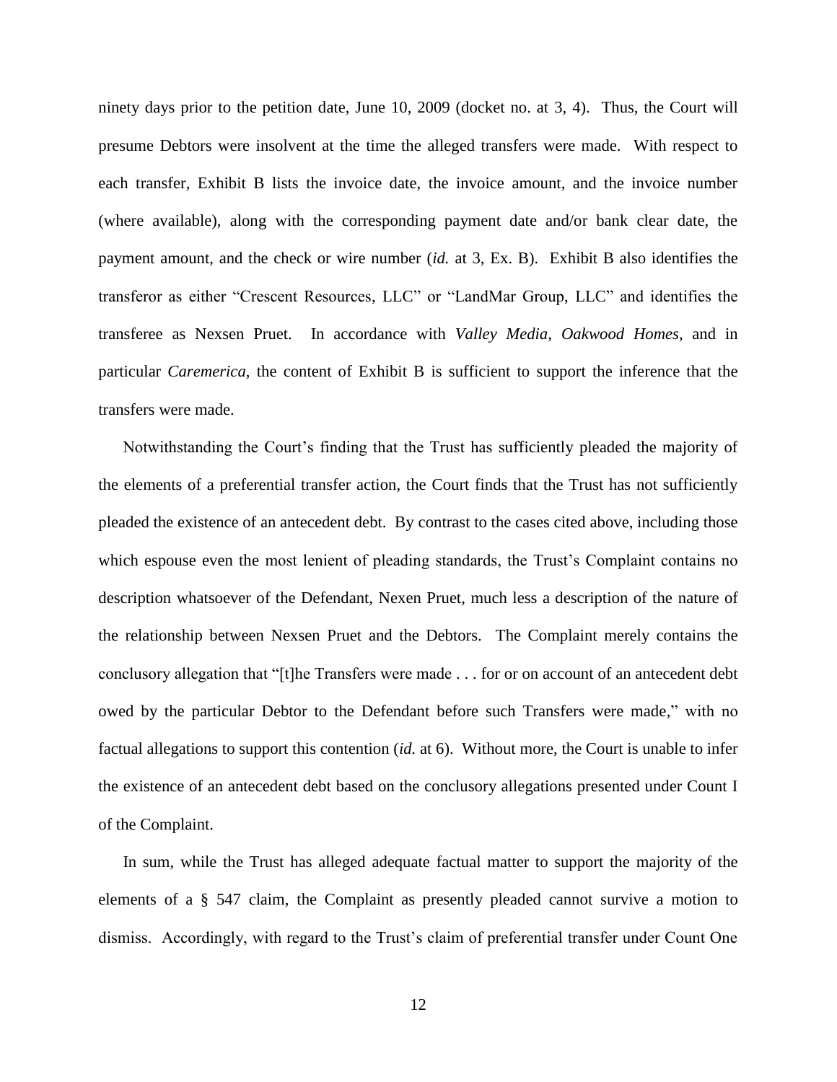ninety days prior to the petition date, June 10, 2009 (docket no. at 3, 4). Thus, the Court will presume Debtors were insolvent at the time the alleged transfers were made. With respect to each transfer, Exhibit B lists the invoice date, the invoice amount, and the invoice number (where available), along with the corresponding payment date and/or bank clear date, the payment amount, and the check or wire number (*id.* at 3, Ex. B). Exhibit B also identifies the transferor as either "Crescent Resources, LLC" or "LandMar Group, LLC" and identifies the transferee as Nexsen Pruet. In accordance with *Valley Media*, *Oakwood Homes*, and in particular *Caremerica*, the content of Exhibit B is sufficient to support the inference that the transfers were made.

Notwithstanding the Court's finding that the Trust has sufficiently pleaded the majority of the elements of a preferential transfer action, the Court finds that the Trust has not sufficiently pleaded the existence of an antecedent debt. By contrast to the cases cited above, including those which espouse even the most lenient of pleading standards, the Trust's Complaint contains no description whatsoever of the Defendant, Nexen Pruet, much less a description of the nature of the relationship between Nexsen Pruet and the Debtors. The Complaint merely contains the conclusory allegation that "[t]he Transfers were made . . . for or on account of an antecedent debt owed by the particular Debtor to the Defendant before such Transfers were made," with no factual allegations to support this contention (*id.* at 6). Without more, the Court is unable to infer the existence of an antecedent debt based on the conclusory allegations presented under Count I of the Complaint.

In sum, while the Trust has alleged adequate factual matter to support the majority of the elements of a § 547 claim, the Complaint as presently pleaded cannot survive a motion to dismiss. Accordingly, with regard to the Trust's claim of preferential transfer under Count One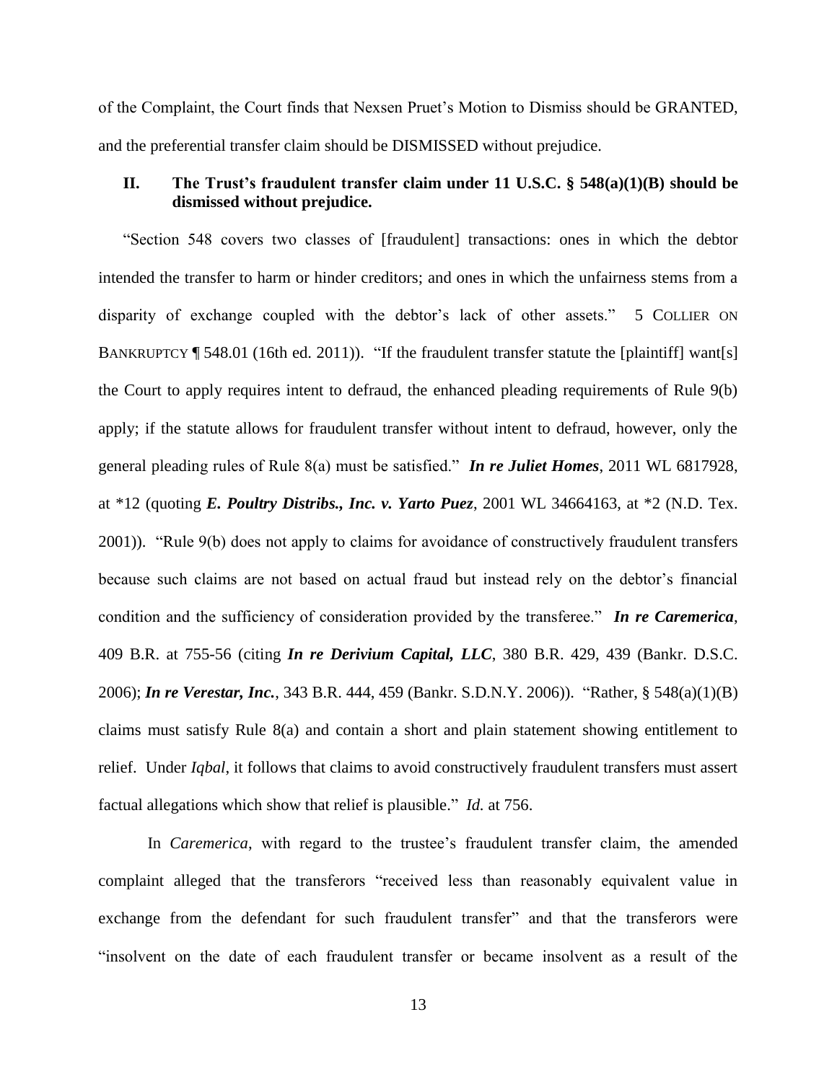of the Complaint, the Court finds that Nexsen Pruet's Motion to Dismiss should be GRANTED, and the preferential transfer claim should be DISMISSED without prejudice.

## **II. The Trust's fraudulent transfer claim under 11 U.S.C. § 548(a)(1)(B) should be dismissed without prejudice.**

"Section 548 covers two classes of [fraudulent] transactions: ones in which the debtor intended the transfer to harm or hinder creditors; and ones in which the unfairness stems from a disparity of exchange coupled with the debtor's lack of other assets." 5 COLLIER ON BANKRUPTCY ¶ 548.01 (16th ed. 2011)). "If the fraudulent transfer statute the [plaintiff] want[s] the Court to apply requires intent to defraud, the enhanced pleading requirements of Rule 9(b) apply; if the statute allows for fraudulent transfer without intent to defraud, however, only the general pleading rules of Rule 8(a) must be satisfied." *In re Juliet Homes*, 2011 WL 6817928, at \*12 (quoting *E. Poultry Distribs., Inc. v. Yarto Puez*, 2001 WL 34664163, at \*2 (N.D. Tex. 2001)). "Rule 9(b) does not apply to claims for avoidance of constructively fraudulent transfers because such claims are not based on actual fraud but instead rely on the debtor's financial condition and the sufficiency of consideration provided by the transferee." *In re Caremerica*, 409 B.R. at 755-56 (citing *In re Derivium Capital, LLC*, 380 B.R. 429, 439 (Bankr. D.S.C. 2006); *In re Verestar, Inc.*, 343 B.R. 444, 459 (Bankr. S.D.N.Y. 2006)). "Rather, § 548(a)(1)(B) claims must satisfy Rule 8(a) and contain a short and plain statement showing entitlement to relief. Under *Iqbal*, it follows that claims to avoid constructively fraudulent transfers must assert factual allegations which show that relief is plausible." *Id.* at 756.

In *Caremerica*, with regard to the trustee's fraudulent transfer claim, the amended complaint alleged that the transferors "received less than reasonably equivalent value in exchange from the defendant for such fraudulent transfer" and that the transferors were "insolvent on the date of each fraudulent transfer or became insolvent as a result of the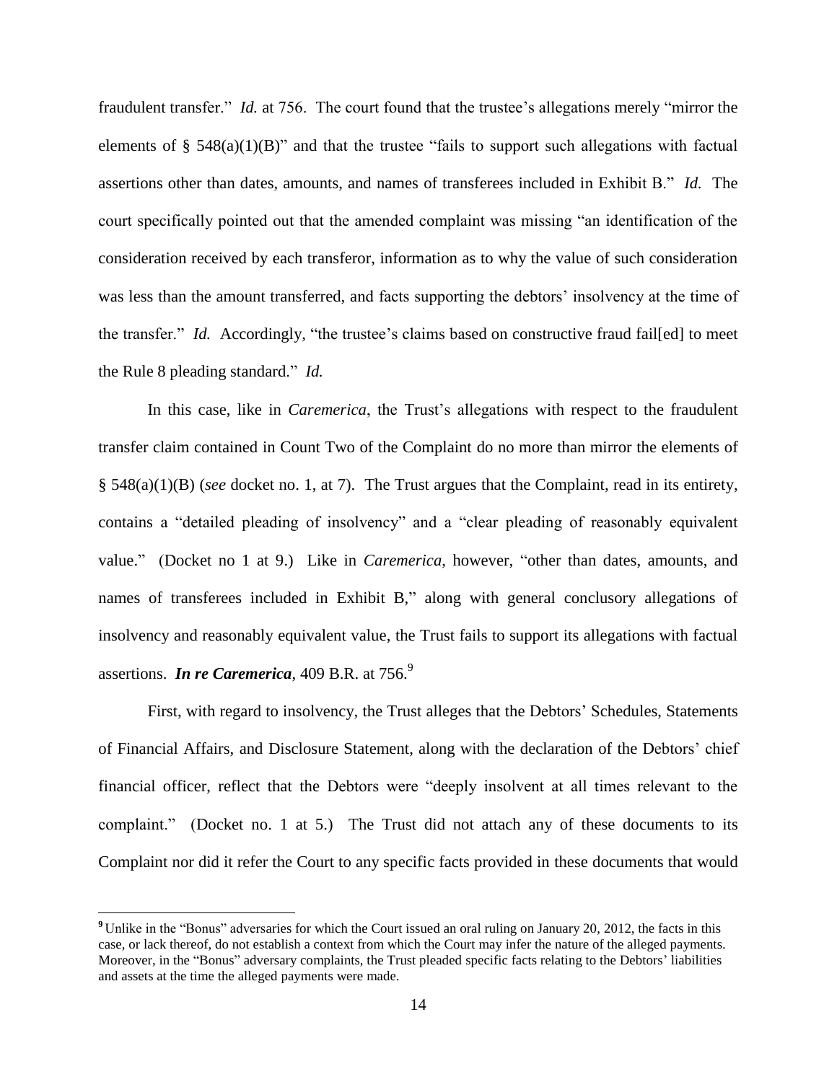fraudulent transfer." *Id.* at 756. The court found that the trustee's allegations merely "mirror the elements of  $\S$  548(a)(1)(B)" and that the trustee "fails to support such allegations with factual assertions other than dates, amounts, and names of transferees included in Exhibit B." *Id.* The court specifically pointed out that the amended complaint was missing "an identification of the consideration received by each transferor, information as to why the value of such consideration was less than the amount transferred, and facts supporting the debtors' insolvency at the time of the transfer." *Id.* Accordingly, "the trustee's claims based on constructive fraud fail[ed] to meet the Rule 8 pleading standard." *Id.*

In this case, like in *Caremerica*, the Trust's allegations with respect to the fraudulent transfer claim contained in Count Two of the Complaint do no more than mirror the elements of § 548(a)(1)(B) (*see* docket no. 1, at 7). The Trust argues that the Complaint, read in its entirety, contains a "detailed pleading of insolvency" and a "clear pleading of reasonably equivalent value." (Docket no 1 at 9.) Like in *Caremerica*, however, "other than dates, amounts, and names of transferees included in Exhibit B," along with general conclusory allegations of insolvency and reasonably equivalent value, the Trust fails to support its allegations with factual assertions. *In re Caremerica*, 409 B.R. at 756.<sup>9</sup>

First, with regard to insolvency, the Trust alleges that the Debtors' Schedules, Statements of Financial Affairs, and Disclosure Statement, along with the declaration of the Debtors' chief financial officer, reflect that the Debtors were "deeply insolvent at all times relevant to the complaint." (Docket no. 1 at 5.) The Trust did not attach any of these documents to its Complaint nor did it refer the Court to any specific facts provided in these documents that would

**<sup>9</sup>** Unlike in the "Bonus" adversaries for which the Court issued an oral ruling on January 20, 2012, the facts in this case, or lack thereof, do not establish a context from which the Court may infer the nature of the alleged payments. Moreover, in the "Bonus" adversary complaints, the Trust pleaded specific facts relating to the Debtors' liabilities and assets at the time the alleged payments were made.